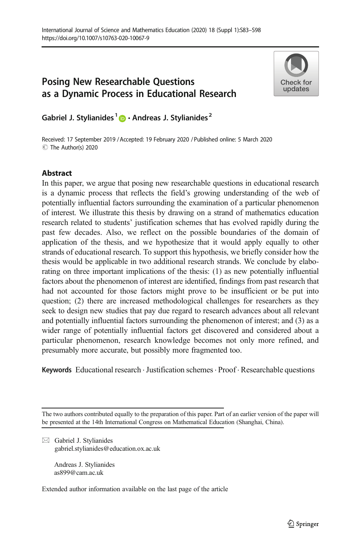# Posing New Researchable Questions as a Dynamic Process in Educational Research



Gabriel J. Stylianides<sup>1</sup>  $\bullet$  · Andreas J. Stylianides<sup>2</sup>

Received: 17 September 2019 /Accepted: 19 February 2020 / Published online: 5 March 2020 C The Author(s) 2020

## Abstract

In this paper, we argue that posing new researchable questions in educational research is a dynamic process that reflects the field's growing understanding of the web of potentially influential factors surrounding the examination of a particular phenomenon of interest. We illustrate this thesis by drawing on a strand of mathematics education research related to students' justification schemes that has evolved rapidly during the past few decades. Also, we reflect on the possible boundaries of the domain of application of the thesis, and we hypothesize that it would apply equally to other strands of educational research. To support this hypothesis, we briefly consider how the thesis would be applicable in two additional research strands. We conclude by elaborating on three important implications of the thesis: (1) as new potentially influential factors about the phenomenon of interest are identified, findings from past research that had not accounted for those factors might prove to be insufficient or be put into question; (2) there are increased methodological challenges for researchers as they seek to design new studies that pay due regard to research advances about all relevant and potentially influential factors surrounding the phenomenon of interest; and (3) as a wider range of potentially influential factors get discovered and considered about a particular phenomenon, research knowledge becomes not only more refined, and presumably more accurate, but possibly more fragmented too.

**Keywords** Educational research  $\cdot$  Justification schemes  $\cdot$  Proof $\cdot$  Researchable questions

The two authors contributed equally to the preparation of this paper. Part of an earlier version of the paper will be presented at the 14th International Congress on Mathematical Education (Shanghai, China).

 $\boxtimes$  Gabriel J. Stylianides [gabriel.stylianides@education.ox.ac.uk](mailto:gabriel.stylianides@education.ox.ac.uk)

> Andreas J. Stylianides as899@cam.ac.uk

Extended author information available on the last page of the article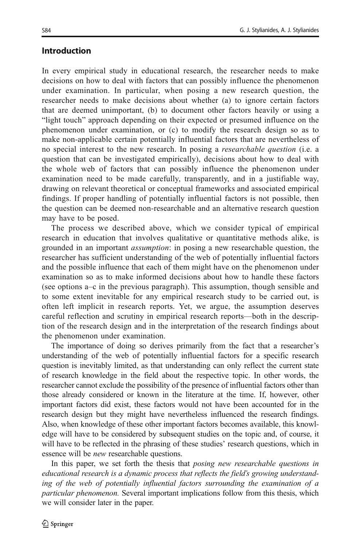## Introduction

In every empirical study in educational research, the researcher needs to make decisions on how to deal with factors that can possibly influence the phenomenon under examination. In particular, when posing a new research question, the researcher needs to make decisions about whether (a) to ignore certain factors that are deemed unimportant, (b) to document other factors heavily or using a "light touch" approach depending on their expected or presumed influence on the phenomenon under examination, or (c) to modify the research design so as to make non-applicable certain potentially influential factors that are nevertheless of no special interest to the new research. In posing a *researchable question* (i.e. a question that can be investigated empirically), decisions about how to deal with the whole web of factors that can possibly influence the phenomenon under examination need to be made carefully, transparently, and in a justifiable way, drawing on relevant theoretical or conceptual frameworks and associated empirical findings. If proper handling of potentially influential factors is not possible, then the question can be deemed non-researchable and an alternative research question may have to be posed.

The process we described above, which we consider typical of empirical research in education that involves qualitative or quantitative methods alike, is grounded in an important assumption: in posing a new researchable question, the researcher has sufficient understanding of the web of potentially influential factors and the possible influence that each of them might have on the phenomenon under examination so as to make informed decisions about how to handle these factors (see options a–c in the previous paragraph). This assumption, though sensible and to some extent inevitable for any empirical research study to be carried out, is often left implicit in research reports. Yet, we argue, the assumption deserves careful reflection and scrutiny in empirical research reports—both in the description of the research design and in the interpretation of the research findings about the phenomenon under examination.

The importance of doing so derives primarily from the fact that a researcher's understanding of the web of potentially influential factors for a specific research question is inevitably limited, as that understanding can only reflect the current state of research knowledge in the field about the respective topic. In other words, the researcher cannot exclude the possibility of the presence of influential factors other than those already considered or known in the literature at the time. If, however, other important factors did exist, these factors would not have been accounted for in the research design but they might have nevertheless influenced the research findings. Also, when knowledge of these other important factors becomes available, this knowledge will have to be considered by subsequent studies on the topic and, of course, it will have to be reflected in the phrasing of these studies' research questions, which in essence will be *new* researchable questions.

In this paper, we set forth the thesis that *posing new researchable questions in* educational research is a dynamic process that reflects the field's growing understanding of the web of potentially influential factors surrounding the examination of a particular phenomenon. Several important implications follow from this thesis, which we will consider later in the paper.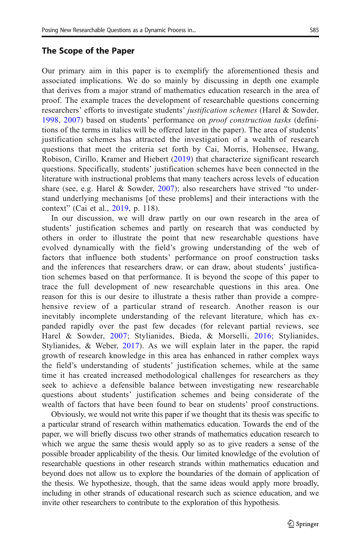## The Scope of the Paper

Our primary aim in this paper is to exemplify the aforementioned thesis and associated implications. We do so mainly by discussing in depth one example that derives from a major strand of mathematics education research in the area of proof. The example traces the development of researchable questions concerning researchers' efforts to investigate students' *justification schemes* (Harel & Sowder, [1998](#page-14-0), [2007](#page-14-0)) based on students' performance on proof construction tasks (definitions of the terms in italics will be offered later in the paper). The area of students' justification schemes has attracted the investigation of a wealth of research questions that meet the criteria set forth by Cai, Morris, Hohensee, Hwang, Robison, Cirillo, Kramer and Hiebert ([2019](#page-14-0)) that characterize significant research questions. Specifically, students' justification schemes have been connected in the literature with instructional problems that many teachers across levels of education share (see, e.g. Harel & Sowder,  $2007$ ); also researchers have strived "to understand underlying mechanisms [of these problems] and their interactions with the context" (Cai et al., [2019,](#page-14-0) p. 118).

In our discussion, we will draw partly on our own research in the area of students' justification schemes and partly on research that was conducted by others in order to illustrate the point that new researchable questions have evolved dynamically with the field's growing understanding of the web of factors that influence both students' performance on proof construction tasks and the inferences that researchers draw, or can draw, about students' justification schemes based on that performance. It is beyond the scope of this paper to trace the full development of new researchable questions in this area. One reason for this is our desire to illustrate a thesis rather than provide a comprehensive review of a particular strand of research. Another reason is our inevitably incomplete understanding of the relevant literature, which has expanded rapidly over the past few decades (for relevant partial reviews, see Harel & Sowder, [2007;](#page-14-0) Stylianides, Bieda, & Morselli, [2016;](#page-15-0) Stylianides, Stylianides, & Weber, [2017\)](#page-15-0). As we will explain later in the paper, the rapid growth of research knowledge in this area has enhanced in rather complex ways the field's understanding of students' justification schemes, while at the same time it has created increased methodological challenges for researchers as they seek to achieve a defensible balance between investigating new researchable questions about students' justification schemes and being considerate of the wealth of factors that have been found to bear on students' proof constructions.

Obviously, we would not write this paper if we thought that its thesis was specific to a particular strand of research within mathematics education. Towards the end of the paper, we will briefly discuss two other strands of mathematics education research to which we argue the same thesis would apply so as to give readers a sense of the possible broader applicability of the thesis. Our limited knowledge of the evolution of researchable questions in other research strands within mathematics education and beyond does not allow us to explore the boundaries of the domain of application of the thesis. We hypothesize, though, that the same ideas would apply more broadly, including in other strands of educational research such as science education, and we invite other researchers to contribute to the exploration of this hypothesis.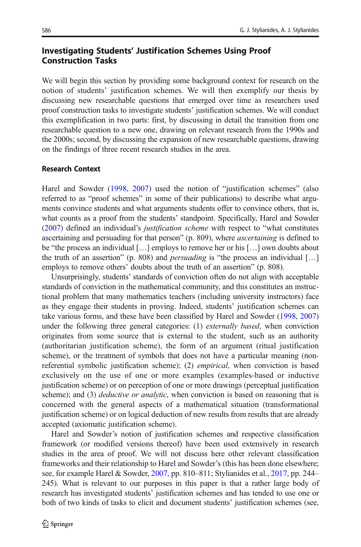## Investigating Students' Justification Schemes Using Proof Construction Tasks

We will begin this section by providing some background context for research on the notion of students' justification schemes. We will then exemplify our thesis by discussing new researchable questions that emerged over time as researchers used proof construction tasks to investigate students' justification schemes. We will conduct this exemplification in two parts: first, by discussing in detail the transition from one researchable question to a new one, drawing on relevant research from the 1990s and the 2000s; second, by discussing the expansion of new researchable questions, drawing on the findings of three recent research studies in the area.

## Research Context

Harel and Sowder [\(1998](#page-14-0), [2007](#page-14-0)) used the notion of "justification schemes" (also referred to as "proof schemes" in some of their publications) to describe what arguments convince students and what arguments students offer to convince others, that is, what counts as a proof from the students' standpoint. Specifically, Harel and Sowder [\(2007\)](#page-14-0) defined an individual's justification scheme with respect to "what constitutes ascertaining and persuading for that person" (p. 809), where *ascertaining* is defined to be "the process an individual […] employs to remove her or his […] own doubts about the truth of an assertion" (p. 808) and *persuading* is "the process an individual [...] employs to remove others' doubts about the truth of an assertion" (p. 808).

Unsurprisingly, students' standards of conviction often do not align with acceptable standards of conviction in the mathematical community, and this constitutes an instructional problem that many mathematics teachers (including university instructors) face as they engage their students in proving. Indeed, students' justification schemes can take various forms, and these have been classified by Harel and Sowder ([1998](#page-14-0), [2007](#page-14-0)) under the following three general categories: (1) *externally based*, when conviction originates from some source that is external to the student, such as an authority (authoritarian justification scheme), the form of an argument (ritual justification scheme), or the treatment of symbols that does not have a particular meaning (nonreferential symbolic justification scheme); (2) empirical, when conviction is based exclusively on the use of one or more examples (examples-based or inductive justification scheme) or on perception of one or more drawings (perceptual justification scheme); and (3) *deductive or analytic*, when conviction is based on reasoning that is concerned with the general aspects of a mathematical situation (transformational justification scheme) or on logical deduction of new results from results that are already accepted (axiomatic justification scheme).

Harel and Sowder's notion of justification schemes and respective classification framework (or modified versions thereof) have been used extensively in research studies in the area of proof. We will not discuss here other relevant classification frameworks and their relationship to Harel and Sowder's (this has been done elsewhere; see, for example Harel & Sowder, [2007,](#page-14-0) pp. 810–811; Stylianides et al., [2017,](#page-15-0) pp. 244– 245). What is relevant to our purposes in this paper is that a rather large body of research has investigated students' justification schemes and has tended to use one or both of two kinds of tasks to elicit and document students' justification schemes (see,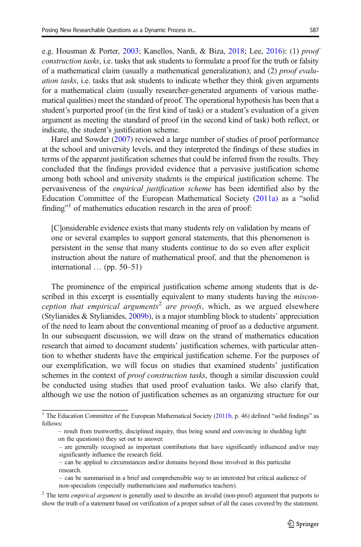e.g. Housman & Porter, [2003](#page-14-0); Kanellos, Nardi, & Biza, [2018;](#page-14-0) Lee, [2016\)](#page-14-0): (1) proof construction tasks, i.e. tasks that ask students to formulate a proof for the truth or falsity of a mathematical claim (usually a mathematical generalization); and (2) proof evaluation tasks, i.e. tasks that ask students to indicate whether they think given arguments for a mathematical claim (usually researcher-generated arguments of various mathematical qualities) meet the standard of proof. The operational hypothesis has been that a student's purported proof (in the first kind of task) or a student's evaluation of a given argument as meeting the standard of proof (in the second kind of task) both reflect, or indicate, the student's justification scheme.

Harel and Sowder [\(2007\)](#page-14-0) reviewed a large number of studies of proof performance at the school and university levels, and they interpreted the findings of these studies in terms of the apparent justification schemes that could be inferred from the results. They concluded that the findings provided evidence that a pervasive justification scheme among both school and university students is the empirical justification scheme. The pervasiveness of the empirical justification scheme has been identified also by the Education Committee of the European Mathematical Society [\(2011a](#page-14-0)) as a "solid finding"<sup>1</sup> of mathematics education research in the area of proof:

[C]onsiderable evidence exists that many students rely on validation by means of one or several examples to support general statements, that this phenomenon is persistent in the sense that many students continue to do so even after explicit instruction about the nature of mathematical proof, and that the phenomenon is international … (pp. 50–51)

The prominence of the empirical justification scheme among students that is described in this excerpt is essentially equivalent to many students having the *misconception that empirical arguments<sup>2</sup> are proofs*, which, as we argued elsewhere (Stylianides & Stylianides, [2009b](#page-15-0)), is a major stumbling block to students' appreciation of the need to learn about the conventional meaning of proof as a deductive argument. In our subsequent discussion, we will draw on the strand of mathematics education research that aimed to document students' justification schemes, with particular attention to whether students have the empirical justification scheme. For the purposes of our exemplification, we will focus on studies that examined students' justification schemes in the context of *proof construction tasks*, though a similar discussion could be conducted using studies that used proof evaluation tasks. We also clarify that, although we use the notion of justification schemes as an organizing structure for our

<sup>&</sup>lt;sup>1</sup> The Education Committee of the European Mathematical Society  $(2011b, p. 46)$  $(2011b, p. 46)$  $(2011b, p. 46)$  defined "solid findings" as follows:

<sup>–</sup> result from trustworthy, disciplined inquiry, thus being sound and convincing in shedding light on the question(s) they set out to answer.

<sup>–</sup> are generally recogised as important contributions that have significantly influenced and/or may significantly influence the research field.

<sup>–</sup> can be applied to circumstances and/or domains beyond those involved in this particular research.

<sup>–</sup> can be summarised in a brief and comprehensible way to an interested but critical audience of non-specialists (especially mathematicians and mathematics teachers).

 $2$  The term *empirical argument* is generally used to describe an invalid (non-proof) argument that purports to show the truth of a statement based on verification of a proper subset of all the cases covered by the statement.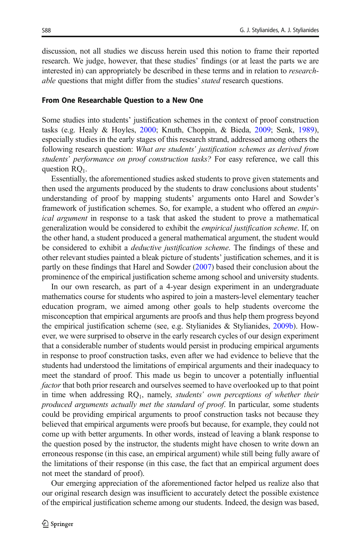discussion, not all studies we discuss herein used this notion to frame their reported research. We judge, however, that these studies' findings (or at least the parts we are interested in) can appropriately be described in these terms and in relation to *research*able questions that might differ from the studies' *stated* research questions.

#### From One Researchable Question to a New One

Some studies into students' justification schemes in the context of proof construction tasks (e.g. Healy & Hoyles, [2000;](#page-14-0) Knuth, Choppin, & Bieda, [2009;](#page-14-0) Senk, [1989\)](#page-15-0), especially studies in the early stages of this research strand, addressed among others the following research question: What are students' justification schemes as derived from students' performance on proof construction tasks? For easy reference, we call this question RO<sub>1</sub>.

Essentially, the aforementioned studies asked students to prove given statements and then used the arguments produced by the students to draw conclusions about students' understanding of proof by mapping students' arguments onto Harel and Sowder's framework of justification schemes. So, for example, a student who offered an empirical argument in response to a task that asked the student to prove a mathematical generalization would be considered to exhibit the empirical justification scheme. If, on the other hand, a student produced a general mathematical argument, the student would be considered to exhibit a *deductive justification scheme*. The findings of these and other relevant studies painted a bleak picture of students' justification schemes, and it is partly on these findings that Harel and Sowder ([2007](#page-14-0)) based their conclusion about the prominence of the empirical justification scheme among school and university students.

In our own research, as part of a 4-year design experiment in an undergraduate mathematics course for students who aspired to join a masters-level elementary teacher education program, we aimed among other goals to help students overcome the misconception that empirical arguments are proofs and thus help them progress beyond the empirical justification scheme (see, e.g. Stylianides  $\&$  Stylianides, [2009b](#page-15-0)). However, we were surprised to observe in the early research cycles of our design experiment that a considerable number of students would persist in producing empirical arguments in response to proof construction tasks, even after we had evidence to believe that the students had understood the limitations of empirical arguments and their inadequacy to meet the standard of proof. This made us begin to uncover a potentially influential factor that both prior research and ourselves seemed to have overlooked up to that point in time when addressing  $RQ_1$ , namely, *students' own perceptions of whether their* produced arguments actually met the standard of proof. In particular, some students could be providing empirical arguments to proof construction tasks not because they believed that empirical arguments were proofs but because, for example, they could not come up with better arguments. In other words, instead of leaving a blank response to the question posed by the instructor, the students might have chosen to write down an erroneous response (in this case, an empirical argument) while still being fully aware of the limitations of their response (in this case, the fact that an empirical argument does not meet the standard of proof).

Our emerging appreciation of the aforementioned factor helped us realize also that our original research design was insufficient to accurately detect the possible existence of the empirical justification scheme among our students. Indeed, the design was based,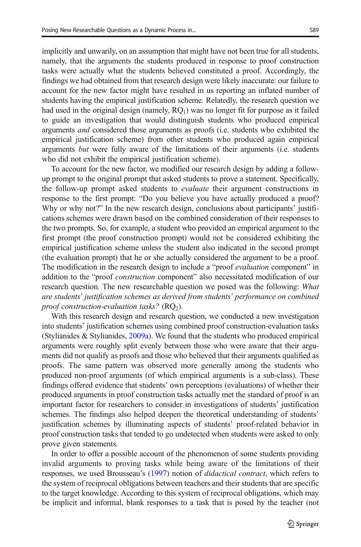implicitly and unwarily, on an assumption that might have not been true for all students, namely, that the arguments the students produced in response to proof construction tasks were actually what the students believed constituted a proof. Accordingly, the findings we had obtained from that research design were likely inaccurate: our failure to account for the new factor might have resulted in us reporting an inflated number of students having the empirical justification scheme. Relatedly, the research question we had used in the original design (namely,  $RQ_1$ ) was no longer fit for purpose as it failed to guide an investigation that would distinguish students who produced empirical arguments and considered those arguments as proofs (i.e. students who exhibited the empirical justification scheme) from other students who produced again empirical arguments but were fully aware of the limitations of their arguments (i.e. students who did not exhibit the empirical justification scheme).

To account for the new factor, we modified our research design by adding a followup prompt to the original prompt that asked students to prove a statement. Specifically, the follow-up prompt asked students to *evaluate* their argument constructions in response to the first prompt: "Do you believe you have actually produced a proof? Why or why not?" In the new research design, conclusions about participants' justifications schemes were drawn based on the combined consideration of their responses to the two prompts. So, for example, a student who provided an empirical argument to the first prompt (the proof construction prompt) would not be considered exhibiting the empirical justification scheme unless the student also indicated in the second prompt (the evaluation prompt) that he or she actually considered the argument to be a proof. The modification in the research design to include a "proof *evaluation* component" in addition to the "proof *construction* component" also necessitated modification of our research question. The new researchable question we posed was the following: What are students' justification schemes as derived from students' performance on combined proof construction-evaluation tasks?  $(RQ<sub>2</sub>)$ .

With this research design and research question, we conducted a new investigation into students' justification schemes using combined proof construction-evaluation tasks (Stylianides & Stylianides, [2009a\)](#page-15-0). We found that the students who produced empirical arguments were roughly split evenly between those who were aware that their arguments did not qualify as proofs and those who believed that their arguments qualified as proofs. The same pattern was observed more generally among the students who produced non-proof arguments (of which empirical arguments is a sub-class). These findings offered evidence that students' own perceptions (evaluations) of whether their produced arguments in proof construction tasks actually met the standard of proof is an important factor for researchers to consider in investigations of students' justification schemes. The findings also helped deepen the theoretical understanding of students' justification schemes by illuminating aspects of students' proof-related behavior in proof construction tasks that tended to go undetected when students were asked to only prove given statements.

In order to offer a possible account of the phenomenon of some students providing invalid arguments to proving tasks while being aware of the limitations of their responses, we used Brousseau's [\(1997\)](#page-14-0) notion of *didactical contract*, which refers to the system of reciprocal obligations between teachers and their students that are specific to the target knowledge. According to this system of reciprocal obligations, which may be implicit and informal, blank responses to a task that is posed by the teacher (not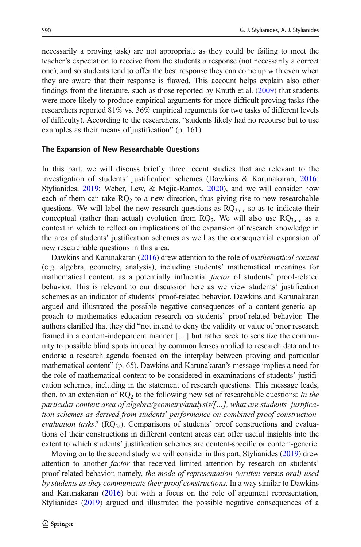necessarily a proving task) are not appropriate as they could be failing to meet the teacher's expectation to receive from the students a response (not necessarily a correct one), and so students tend to offer the best response they can come up with even when they are aware that their response is flawed. This account helps explain also other findings from the literature, such as those reported by Knuth et al. [\(2009\)](#page-14-0) that students were more likely to produce empirical arguments for more difficult proving tasks (the researchers reported 81% vs. 36% empirical arguments for two tasks of different levels of difficulty). According to the researchers, "students likely had no recourse but to use examples as their means of justification" (p. 161).

#### The Expansion of New Researchable Questions

In this part, we will discuss briefly three recent studies that are relevant to the investigation of students' justification schemes (Dawkins & Karunakaran, [2016;](#page-14-0) Stylianides, [2019;](#page-15-0) Weber, Lew, & Mejia-Ramos, [2020\)](#page-15-0), and we will consider how each of them can take  $RQ_2$  to a new direction, thus giving rise to new researchable questions. We will label the new research questions as  $RQ_{3a-c}$  so as to indicate their conceptual (rather than actual) evolution from  $RQ_2$ . We will also use  $RQ_{3a-c}$  as a context in which to reflect on implications of the expansion of research knowledge in the area of students' justification schemes as well as the consequential expansion of new researchable questions in this area.

Dawkins and Karunakaran [\(2016](#page-14-0)) drew attention to the role of *mathematical content* (e.g. algebra, geometry, analysis), including students' mathematical meanings for mathematical content, as a potentially influential factor of students' proof-related behavior. This is relevant to our discussion here as we view students' justification schemes as an indicator of students' proof-related behavior. Dawkins and Karunakaran argued and illustrated the possible negative consequences of a content-generic approach to mathematics education research on students' proof-related behavior. The authors clarified that they did "not intend to deny the validity or value of prior research framed in a content-independent manner […] but rather seek to sensitize the community to possible blind spots induced by common lenses applied to research data and to endorse a research agenda focused on the interplay between proving and particular mathematical content" (p. 65). Dawkins and Karunakaran's message implies a need for the role of mathematical content to be considered in examinations of students' justification schemes, including in the statement of research questions. This message leads, then, to an extension of  $RQ_2$  to the following new set of researchable questions: In the particular content area of algebra/geometry/analysis/[…], what are students' justification schemes as derived from students' performance on combined proof constructionevaluation tasks? ( $RQ_{3a}$ ). Comparisons of students' proof constructions and evaluations of their constructions in different content areas can offer useful insights into the extent to which students' justification schemes are content-specific or content-generic.

Moving on to the second study we will consider in this part, Stylianides ([2019](#page-15-0)) drew attention to another factor that received limited attention by research on students' proof-related behavior, namely, the mode of representation (written versus oral) used by students as they communicate their proof constructions. In a way similar to Dawkins and Karunakaran [\(2016](#page-14-0)) but with a focus on the role of argument representation, Stylianides [\(2019\)](#page-15-0) argued and illustrated the possible negative consequences of a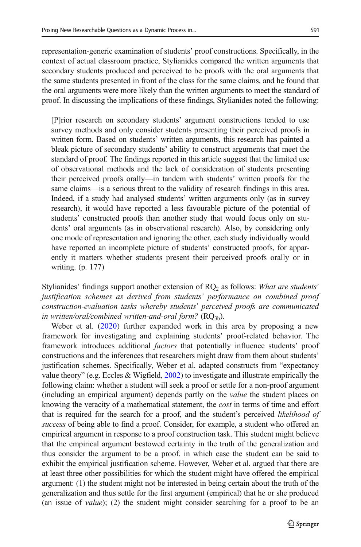representation-generic examination of students' proof constructions. Specifically, in the context of actual classroom practice, Stylianides compared the written arguments that secondary students produced and perceived to be proofs with the oral arguments that the same students presented in front of the class for the same claims, and he found that the oral arguments were more likely than the written arguments to meet the standard of proof. In discussing the implications of these findings, Stylianides noted the following:

[P]rior research on secondary students' argument constructions tended to use survey methods and only consider students presenting their perceived proofs in written form. Based on students' written arguments, this research has painted a bleak picture of secondary students' ability to construct arguments that meet the standard of proof. The findings reported in this article suggest that the limited use of observational methods and the lack of consideration of students presenting their perceived proofs orally—in tandem with students' written proofs for the same claims—is a serious threat to the validity of research findings in this area. Indeed, if a study had analysed students' written arguments only (as in survey research), it would have reported a less favourable picture of the potential of students' constructed proofs than another study that would focus only on students' oral arguments (as in observational research). Also, by considering only one mode of representation and ignoring the other, each study individually would have reported an incomplete picture of students' constructed proofs, for apparently it matters whether students present their perceived proofs orally or in writing. (p. 177)

Stylianides' findings support another extension of  $RQ<sub>2</sub>$  as follows: What are students' justification schemes as derived from students' performance on combined proof construction-evaluation tasks whereby students' perceived proofs are communicated in written/oral/combined written-and-oral form?  $(RQ_{3b})$ .

Weber et al. [\(2020](#page-15-0)) further expanded work in this area by proposing a new framework for investigating and explaining students' proof-related behavior. The framework introduces additional factors that potentially influence students' proof constructions and the inferences that researchers might draw from them about students' justification schemes. Specifically, Weber et al. adapted constructs from "expectancy value theory" (e.g. Eccles & Wigfield, [2002\)](#page-14-0) to investigate and illustrate empirically the following claim: whether a student will seek a proof or settle for a non-proof argument (including an empirical argument) depends partly on the value the student places on knowing the veracity of a mathematical statement, the *cost* in terms of time and effort that is required for the search for a proof, and the student's perceived likelihood of success of being able to find a proof. Consider, for example, a student who offered an empirical argument in response to a proof construction task. This student might believe that the empirical argument bestowed certainty in the truth of the generalization and thus consider the argument to be a proof, in which case the student can be said to exhibit the empirical justification scheme. However, Weber et al. argued that there are at least three other possibilities for which the student might have offered the empirical argument: (1) the student might not be interested in being certain about the truth of the generalization and thus settle for the first argument (empirical) that he or she produced (an issue of value); (2) the student might consider searching for a proof to be an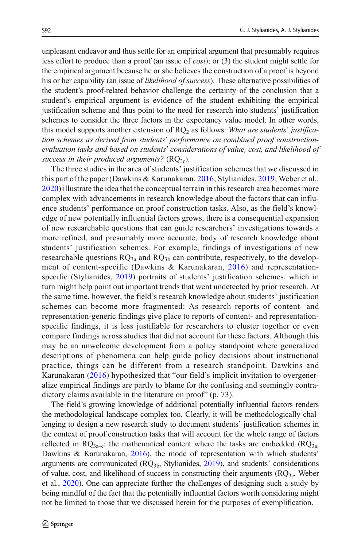unpleasant endeavor and thus settle for an empirical argument that presumably requires less effort to produce than a proof (an issue of cost); or (3) the student might settle for the empirical argument because he or she believes the construction of a proof is beyond his or her capability (an issue of *likelihood of success*). These alternative possibilities of the student's proof-related behavior challenge the certainty of the conclusion that a student's empirical argument is evidence of the student exhibiting the empirical justification scheme and thus point to the need for research into students' justification schemes to consider the three factors in the expectancy value model. In other words, this model supports another extension of  $RQ<sub>2</sub>$  as follows: What are students' justification schemes as derived from students' performance on combined proof constructionevaluation tasks and based on students' considerations of value, cost, and likelihood of success in their produced arguments?  $(RQ_{3c})$ .

The three studies in the area of students' justification schemes that we discussed in this part of the paper (Dawkins & Karunakaran, [2016;](#page-14-0) Stylianides, [2019;](#page-15-0) Weber et al., [2020](#page-15-0)) illustrate the idea that the conceptual terrain in this research area becomes more complex with advancements in research knowledge about the factors that can influence students' performance on proof construction tasks. Also, as the field's knowledge of new potentially influential factors grows, there is a consequential expansion of new researchable questions that can guide researchers' investigations towards a more refined, and presumably more accurate, body of research knowledge about students' justification schemes. For example, findings of investigations of new researchable questions  $RQ_{3a}$  and  $RQ_{3b}$  can contribute, respectively, to the development of content-specific (Dawkins & Karunakaran, [2016\)](#page-14-0) and representationspecific (Stylianides, [2019](#page-15-0)) portraits of students' justification schemes, which in turn might help point out important trends that went undetected by prior research. At the same time, however, the field's research knowledge about students' justification schemes can become more fragmented: As research reports of content- and representation-generic findings give place to reports of content- and representationspecific findings, it is less justifiable for researchers to cluster together or even compare findings across studies that did not account for these factors. Although this may be an unwelcome development from a policy standpoint where generalized descriptions of phenomena can help guide policy decisions about instructional practice, things can be different from a research standpoint. Dawkins and Karunakaran [\(2016\)](#page-14-0) hypothesized that "our field's implicit invitation to overgeneralize empirical findings are partly to blame for the confusing and seemingly contradictory claims available in the literature on proof" (p. 73).

The field's growing knowledge of additional potentially influential factors renders the methodological landscape complex too. Clearly, it will be methodologically challenging to design a new research study to document students' justification schemes in the context of proof construction tasks that will account for the whole range of factors reflected in  $RQ_{3a-c}$ : the mathematical content where the tasks are embedded ( $RQ_{3a}$ , Dawkins & Karunakaran, [2016\)](#page-14-0), the mode of representation with which students' arguments are communicated  $(RQ<sub>3b</sub>, Stylianides, 2019)$  $(RQ<sub>3b</sub>, Stylianides, 2019)$ , and students' considerations of value, cost, and likelihood of success in constructing their arguments  $(RQ_{3c},$  Weber et al., [2020\)](#page-15-0). One can appreciate further the challenges of designing such a study by being mindful of the fact that the potentially influential factors worth considering might not be limited to those that we discussed herein for the purposes of exemplification.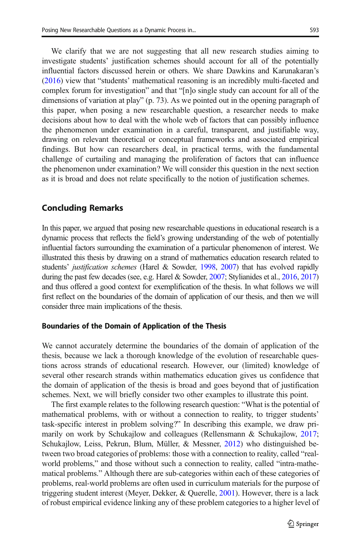We clarify that we are not suggesting that all new research studies aiming to investigate students' justification schemes should account for all of the potentially influential factors discussed herein or others. We share Dawkins and Karunakaran's [\(2016\)](#page-14-0) view that "students' mathematical reasoning is an incredibly multi-faceted and complex forum for investigation" and that "[n]o single study can account for all of the dimensions of variation at play" (p. 73). As we pointed out in the opening paragraph of this paper, when posing a new researchable question, a researcher needs to make decisions about how to deal with the whole web of factors that can possibly influence the phenomenon under examination in a careful, transparent, and justifiable way, drawing on relevant theoretical or conceptual frameworks and associated empirical findings. But how can researchers deal, in practical terms, with the fundamental challenge of curtailing and managing the proliferation of factors that can influence the phenomenon under examination? We will consider this question in the next section as it is broad and does not relate specifically to the notion of justification schemes.

## Concluding Remarks

In this paper, we argued that posing new researchable questions in educational research is a dynamic process that reflects the field's growing understanding of the web of potentially influential factors surrounding the examination of a particular phenomenon of interest. We illustrated this thesis by drawing on a strand of mathematics education research related to students' justification schemes (Harel & Sowder, [1998,](#page-14-0) [2007\)](#page-14-0) that has evolved rapidly during the past few decades (see, e.g. Harel & Sowder, [2007;](#page-14-0) Stylianides et al., [2016,](#page-15-0) [2017](#page-15-0)) and thus offered a good context for exemplification of the thesis. In what follows we will first reflect on the boundaries of the domain of application of our thesis, and then we will consider three main implications of the thesis.

#### Boundaries of the Domain of Application of the Thesis

We cannot accurately determine the boundaries of the domain of application of the thesis, because we lack a thorough knowledge of the evolution of researchable questions across strands of educational research. However, our (limited) knowledge of several other research strands within mathematics education gives us confidence that the domain of application of the thesis is broad and goes beyond that of justification schemes. Next, we will briefly consider two other examples to illustrate this point.

The first example relates to the following research question: "What is the potential of mathematical problems, with or without a connection to reality, to trigger students' task-specific interest in problem solving?" In describing this example, we draw primarily on work by Schukajlow and colleagues (Rellensmann & Schukajlow, [2017;](#page-14-0) Schukajlow, Leiss, Pekrun, Blum, Müller, & Messner, [2012\)](#page-15-0) who distinguished between two broad categories of problems: those with a connection to reality, called "realworld problems," and those without such a connection to reality, called "intra-mathematical problems." Although there are sub-categories within each of these categories of problems, real-world problems are often used in curriculum materials for the purpose of triggering student interest (Meyer, Dekker, & Querelle, [2001\)](#page-14-0). However, there is a lack of robust empirical evidence linking any of these problem categories to a higher level of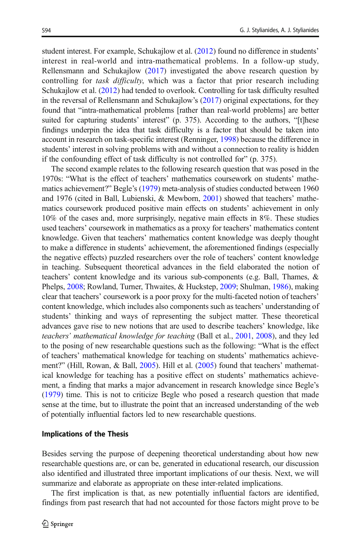student interest. For example, Schukajlow et al. [\(2012\)](#page-15-0) found no difference in students' interest in real-world and intra-mathematical problems. In a follow-up study, Rellensmann and Schukajlow ([2017\)](#page-14-0) investigated the above research question by controlling for task difficulty, which was a factor that prior research including Schukajlow et al. [\(2012\)](#page-15-0) had tended to overlook. Controlling for task difficulty resulted in the reversal of Rellensmann and Schukajlow's ([2017](#page-14-0)) original expectations, for they found that "intra-mathematical problems [rather than real-world problems] are better suited for capturing students' interest" (p. 375). According to the authors, "[t]hese findings underpin the idea that task difficulty is a factor that should be taken into account in research on task-specific interest (Renninger, [1998\)](#page-15-0) because the difference in students' interest in solving problems with and without a connection to reality is hidden if the confounding effect of task difficulty is not controlled for" (p. 375).

The second example relates to the following research question that was posed in the 1970s: "What is the effect of teachers' mathematics coursework on students' mathematics achievement?" Begle's [\(1979\)](#page-14-0) meta-analysis of studies conducted between 1960 and 1976 (cited in Ball, Lubienski, & Mewborn, [2001\)](#page-14-0) showed that teachers' mathematics coursework produced positive main effects on students' achievement in only 10% of the cases and, more surprisingly, negative main effects in 8%. These studies used teachers' coursework in mathematics as a proxy for teachers' mathematics content knowledge. Given that teachers' mathematics content knowledge was deeply thought to make a difference in students' achievement, the aforementioned findings (especially the negative effects) puzzled researchers over the role of teachers' content knowledge in teaching. Subsequent theoretical advances in the field elaborated the notion of teachers' content knowledge and its various sub-components (e.g. Ball, Thames, & Phelps, [2008](#page-14-0); Rowland, Turner, Thwaites, & Huckstep, [2009](#page-15-0); Shulman, [1986](#page-15-0)), making clear that teachers' coursework is a poor proxy for the multi-faceted notion of teachers' content knowledge, which includes also components such as teachers' understanding of students' thinking and ways of representing the subject matter. These theoretical advances gave rise to new notions that are used to describe teachers' knowledge, like teachers' mathematical knowledge for teaching (Ball et al., [2001](#page-14-0), [2008](#page-14-0)), and they led to the posing of new researchable questions such as the following: "What is the effect of teachers' mathematical knowledge for teaching on students' mathematics achievement?" (Hill, Rowan, & Ball, [2005\)](#page-14-0). Hill et al. [\(2005\)](#page-14-0) found that teachers' mathematical knowledge for teaching has a positive effect on students' mathematics achievement, a finding that marks a major advancement in research knowledge since Begle's [\(1979\)](#page-14-0) time. This is not to criticize Begle who posed a research question that made sense at the time, but to illustrate the point that an increased understanding of the web of potentially influential factors led to new researchable questions.

#### Implications of the Thesis

Besides serving the purpose of deepening theoretical understanding about how new researchable questions are, or can be, generated in educational research, our discussion also identified and illustrated three important implications of our thesis. Next, we will summarize and elaborate as appropriate on these inter-related implications.

The first implication is that, as new potentially influential factors are identified, findings from past research that had not accounted for those factors might prove to be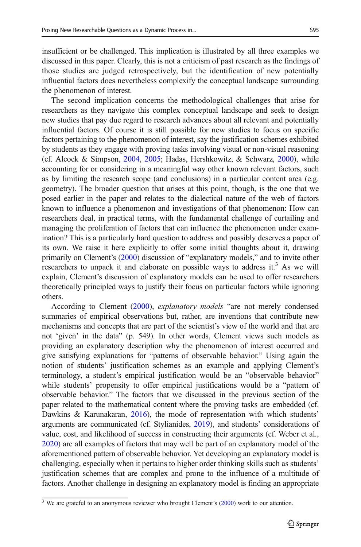insufficient or be challenged. This implication is illustrated by all three examples we discussed in this paper. Clearly, this is not a criticism of past research as the findings of those studies are judged retrospectively, but the identification of new potentially influential factors does nevertheless complexify the conceptual landscape surrounding the phenomenon of interest.

The second implication concerns the methodological challenges that arise for researchers as they navigate this complex conceptual landscape and seek to design new studies that pay due regard to research advances about all relevant and potentially influential factors. Of course it is still possible for new studies to focus on specific factors pertaining to the phenomenon of interest, say the justification schemes exhibited by students as they engage with proving tasks involving visual or non-visual reasoning (cf. Alcock & Simpson, [2004](#page-14-0), [2005;](#page-14-0) Hadas, Hershkowitz, & Schwarz, [2000\)](#page-14-0), while accounting for or considering in a meaningful way other known relevant factors, such as by limiting the research scope (and conclusions) in a particular content area (e.g. geometry). The broader question that arises at this point, though, is the one that we posed earlier in the paper and relates to the dialectical nature of the web of factors known to influence a phenomenon and investigations of that phenomenon: How can researchers deal, in practical terms, with the fundamental challenge of curtailing and managing the proliferation of factors that can influence the phenomenon under examination? This is a particularly hard question to address and possibly deserves a paper of its own. We raise it here explicitly to offer some initial thoughts about it, drawing primarily on Clement's [\(2000\)](#page-14-0) discussion of "explanatory models," and to invite other researchers to unpack it and elaborate on possible ways to address it.<sup>3</sup> As we will explain, Clement's discussion of explanatory models can be used to offer researchers theoretically principled ways to justify their focus on particular factors while ignoring others.

According to Clement [\(2000\)](#page-14-0), explanatory models "are not merely condensed summaries of empirical observations but, rather, are inventions that contribute new mechanisms and concepts that are part of the scientist's view of the world and that are not 'given' in the data" (p. 549). In other words, Clement views such models as providing an explanatory description why the phenomenon of interest occurred and give satisfying explanations for "patterns of observable behavior." Using again the notion of students' justification schemes as an example and applying Clement's terminology, a student's empirical justification would be an "observable behavior" while students' propensity to offer empirical justifications would be a "pattern of observable behavior." The factors that we discussed in the previous section of the paper related to the mathematical content where the proving tasks are embedded (cf. Dawkins & Karunakaran, [2016\)](#page-14-0), the mode of representation with which students' arguments are communicated (cf. Stylianides, [2019\)](#page-15-0), and students' considerations of value, cost, and likelihood of success in constructing their arguments (cf. Weber et al., [2020\)](#page-15-0) are all examples of factors that may well be part of an explanatory model of the aforementioned pattern of observable behavior. Yet developing an explanatory model is challenging, especially when it pertains to higher order thinking skills such as students' justification schemes that are complex and prone to the influence of a multitude of factors. Another challenge in designing an explanatory model is finding an appropriate

<sup>&</sup>lt;sup>3</sup> We are grateful to an anonymous reviewer who brought Clement's [\(2000\)](#page-14-0) work to our attention.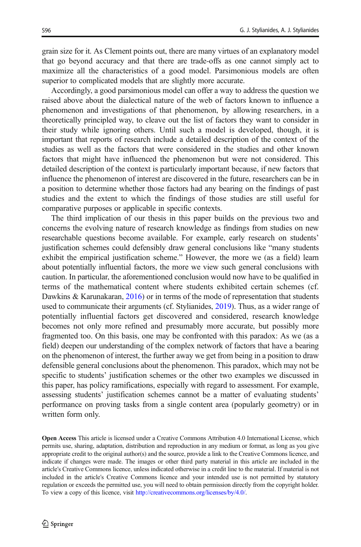grain size for it. As Clement points out, there are many virtues of an explanatory model that go beyond accuracy and that there are trade-offs as one cannot simply act to maximize all the characteristics of a good model. Parsimonious models are often superior to complicated models that are slightly more accurate.

Accordingly, a good parsimonious model can offer a way to address the question we raised above about the dialectical nature of the web of factors known to influence a phenomenon and investigations of that phenomenon, by allowing researchers, in a theoretically principled way, to cleave out the list of factors they want to consider in their study while ignoring others. Until such a model is developed, though, it is important that reports of research include a detailed description of the context of the studies as well as the factors that were considered in the studies and other known factors that might have influenced the phenomenon but were not considered. This detailed description of the context is particularly important because, if new factors that influence the phenomenon of interest are discovered in the future, researchers can be in a position to determine whether those factors had any bearing on the findings of past studies and the extent to which the findings of those studies are still useful for comparative purposes or applicable in specific contexts.

The third implication of our thesis in this paper builds on the previous two and concerns the evolving nature of research knowledge as findings from studies on new researchable questions become available. For example, early research on students' justification schemes could defensibly draw general conclusions like "many students exhibit the empirical justification scheme." However, the more we (as a field) learn about potentially influential factors, the more we view such general conclusions with caution. In particular, the aforementioned conclusion would now have to be qualified in terms of the mathematical content where students exhibited certain schemes (cf. Dawkins & Karunakaran, [2016\)](#page-14-0) or in terms of the mode of representation that students used to communicate their arguments (cf. Stylianides, [2019\)](#page-15-0). Thus, as a wider range of potentially influential factors get discovered and considered, research knowledge becomes not only more refined and presumably more accurate, but possibly more fragmented too. On this basis, one may be confronted with this paradox: As we (as a field) deepen our understanding of the complex network of factors that have a bearing on the phenomenon of interest, the further away we get from being in a position to draw defensible general conclusions about the phenomenon. This paradox, which may not be specific to students' justification schemes or the other two examples we discussed in this paper, has policy ramifications, especially with regard to assessment. For example, assessing students' justification schemes cannot be a matter of evaluating students' performance on proving tasks from a single content area (popularly geometry) or in written form only.

Open Access This article is licensed under a Creative Commons Attribution 4.0 International License, which permits use, sharing, adaptation, distribution and reproduction in any medium or format, as long as you give appropriate credit to the original author(s) and the source, provide a link to the Creative Commons licence, and indicate if changes were made. The images or other third party material in this article are included in the article's Creative Commons licence, unless indicated otherwise in a credit line to the material. If material is not included in the article's Creative Commons licence and your intended use is not permitted by statutory regulation or exceeds the permitted use, you will need to obtain permission directly from the copyright holder. To view a copy of this licence, visit [http://creativecommons.org/licenses/by/4.0/.](http://creativecommons.org/licenses/by/4.0/)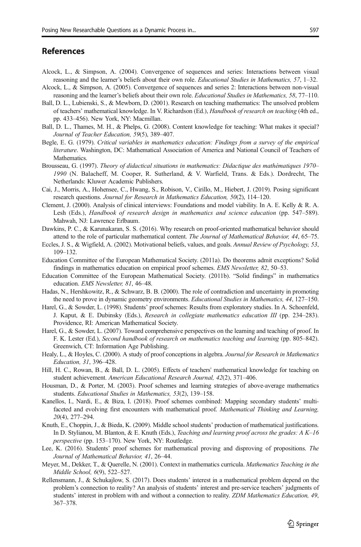### <span id="page-14-0"></span>References

- Alcock, L., & Simpson, A. (2004). Convergence of sequences and series: Interactions between visual reasoning and the learner's beliefs about their own role. Educational Studies in Mathematics, 57, 1–32.
- Alcock, L., & Simpson, A. (2005). Convergence of sequences and series 2: Interactions between non-visual reasoning and the learner's beliefs about their own role. Educational Studies in Mathematics, 58, 77–110.
- Ball, D. L., Lubienski, S., & Mewborn, D. (2001). Research on teaching mathematics: The unsolved problem of teachers' mathematical knowledge. In V. Richardson (Ed.), Handbook of research on teaching (4th ed., pp. 433–456). New York, NY: Macmillan.
- Ball, D. L., Thames, M. H., & Phelps, G. (2008). Content knowledge for teaching: What makes it special? Journal of Teacher Education, 59(5), 389–407.
- Begle, E. G. (1979). Critical variables in mathematics education: Findings from a survey of the empirical literature. Washington, DC: Mathematical Association of America and National Council of Teachers of Mathematics.
- Brousseau, G. (1997). Theory of didactical situations in mathematics: Didactique des mathématiques 1970– 1990 (N. Balacheff, M. Cooper, R. Sutherland, & V. Warfield, Trans. & Eds.). Dordrecht, The Netherlands: Kluwer Academic Publishers.
- Cai, J., Morris, A., Hohensee, C., Hwang, S., Robison, V., Cirillo, M., Hiebert, J. (2019). Posing significant research questions. Journal for Research in Mathematics Education, 50(2), 114–120.
- Clement, J. (2000). Analysis of clinical interviews: Foundations and model viability. In A. E. Kelly & R. A. Lesh (Eds.), Handbook of research design in mathematics and science education (pp. 547–589). Mahwah, NJ: Lawrence Erlbaum.
- Dawkins, P. C., & Karunakaran, S. S. (2016). Why research on proof-oriented mathematical behavior should attend to the role of particular mathematical content. The Journal of Mathematical Behavior, 44, 65–75.
- Eccles, J. S., & Wigfield, A. (2002). Motivational beliefs, values, and goals. Annual Review of Psychology, 53, 109–132.
- Education Committee of the European Mathematical Society. (2011a). Do theorems admit exceptions? Solid findings in mathematics education on empirical proof schemes. EMS Newsletter, 82, 50–53.
- Education Committee of the European Mathematical Society. (2011b). "Solid findings" in mathematics education. EMS Newsletter, 81, 46–48.
- Hadas, N., Hershkowitz, R., & Schwarz, B. B. (2000). The role of contradiction and uncertainty in promoting the need to prove in dynamic geometry environments. Educational Studies in Mathematics, 44, 127–150.
- Harel, G., & Sowder, L. (1998). Students' proof schemes: Results from exploratory studies. In A. Schoenfeld, J. Kaput, & E. Dubinsky (Eds.), Research in collegiate mathematics education III (pp. 234–283). Providence, RI: American Mathematical Society.
- Harel, G., & Sowder, L. (2007). Toward comprehensive perspectives on the learning and teaching of proof. In F. K. Lester (Ed.), Second handbook of research on mathematics teaching and learning (pp. 805–842). Greenwich, CT: Information Age Publishing.
- Healy, L., & Hoyles, C. (2000). A study of proof conceptions in algebra. Journal for Research in Mathematics Education, 31, 396–428.
- Hill, H. C., Rowan, B., & Ball, D. L. (2005). Effects of teachers' mathematical knowledge for teaching on student achievement. American Educational Research Journal, 42(2), 371–406.
- Housman, D., & Porter, M. (2003). Proof schemes and learning strategies of above-average mathematics students. Educational Studies in Mathematics, 53(2), 139–158.
- Kanellos, I., Nardi, E., & Biza, I. (2018). Proof schemes combined: Mapping secondary students' multifaceted and evolving first encounters with mathematical proof. Mathematical Thinking and Learning, 20(4), 277–294.
- Knuth, E., Choppin, J., & Bieda, K. (2009). Middle school students' production of mathematical justifications. In D. Stylianou, M. Blanton, & E. Knuth (Eds.), *Teaching and learning proof across the grades: A K–16* perspective (pp. 153–170). New York, NY: Routledge.
- Lee, K. (2016). Students' proof schemes for mathematical proving and disproving of propositions. The Journal of Mathematical Behavior, 41, 26–44.
- Meyer, M., Dekker, T., & Querelle, N. (2001). Context in mathematics curricula. Mathematics Teaching in the Middle School, 6(9), 522–527.
- Rellensmann, J., & Schukajlow, S. (2017). Does students' interest in a mathematical problem depend on the problem's connection to reality? An analysis of students' interest and pre-service teachers' judgments of students' interest in problem with and without a connection to reality. ZDM Mathematics Education, 49, 367–378.